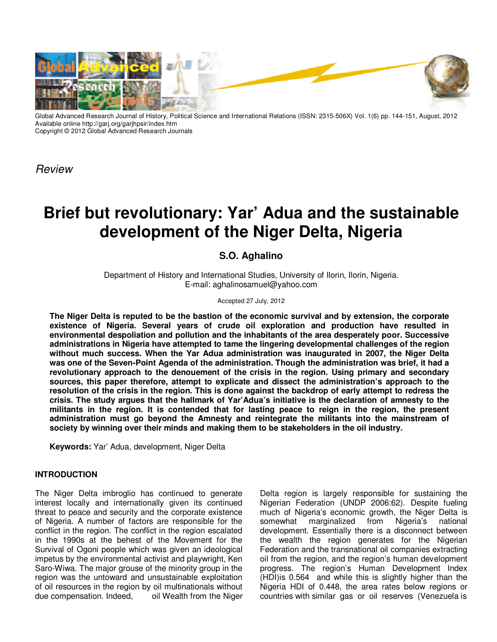

Global Advanced Research Journal of History, Political Science and International Relations (ISSN: 2315-506X) Vol. 1(6) pp. 144-151, August, 2012 Available online http://garj.org/garjhpsir/index.htm Copyright © 2012 Global Advanced Research Journals

*Review* 

# **Brief but revolutionary: Yar' Adua and the sustainable development of the Niger Delta, Nigeria**

## **S.O. Aghalino**

Department of History and International Studies, University of Ilorin, Ilorin, Nigeria. E-mail: aghalinosamuel@yahoo.com

#### Accepted 27 July, 2012

**The Niger Delta is reputed to be the bastion of the economic survival and by extension, the corporate existence of Nigeria. Several years of crude oil exploration and production have resulted in environmental despoliation and pollution and the inhabitants of the area desperately poor. Successive administrations in Nigeria have attempted to tame the lingering developmental challenges of the region without much success. When the Yar Adua administration was inaugurated in 2007, the Niger Delta was one of the Seven-Point Agenda of the administration. Though the administration was brief, it had a revolutionary approach to the denouement of the crisis in the region. Using primary and secondary sources, this paper therefore, attempt to explicate and dissect the administration's approach to the resolution of the crisis in the region. This is done against the backdrop of early attempt to redress the crisis. The study argues that the hallmark of Yar'Adua's initiative is the declaration of amnesty to the militants in the region. It is contended that for lasting peace to reign in the region, the present administration must go beyond the Amnesty and reintegrate the militants into the mainstream of society by winning over their minds and making them to be stakeholders in the oil industry.** 

**Keywords:** Yar' Adua, development, Niger Delta

### **INTRODUCTION**

The Niger Delta imbroglio has continued to generate interest locally and internationally given its continued threat to peace and security and the corporate existence of Nigeria. A number of factors are responsible for the conflict in the region. The conflict in the region escalated in the 1990s at the behest of the Movement for the Survival of Ogoni people which was given an ideological impetus by the environmental activist and playwright, Ken Saro-Wiwa. The major grouse of the minority group in the region was the untoward and unsustainable exploitation of oil resources in the region by oil multinationals without due compensation. Indeed, oil Wealth from the Niger

Delta region is largely responsible for sustaining the Nigerian Federation (UNDP 2006:62). Despite fueling much of Nigeria's economic growth, the Niger Delta is somewhat marginalized from Nigeria's national development. Essentially there is a disconnect between the wealth the region generates for the Nigerian Federation and the transnational oil companies extracting oil from the region, and the region's human development progress. The region's Human Development Index (HDI)is 0.564 and while this is slightly higher than the Nigeria HDI of 0.448, the area rates below regions or countries with similar gas or oil reserves (Venezuela is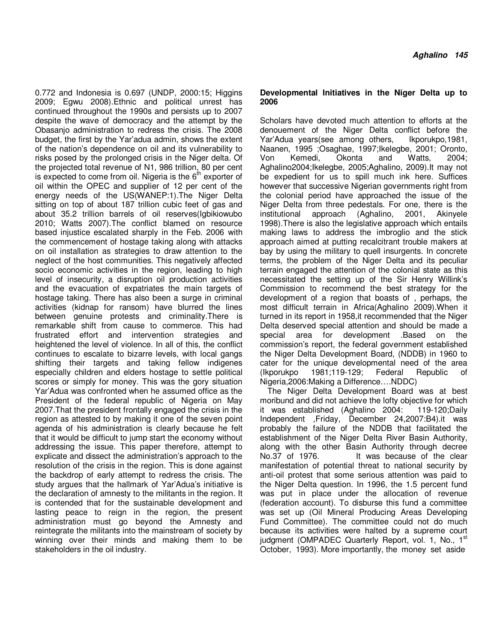0.772 and Indonesia is 0.697 (UNDP, 2000:15; Higgins 2009; Egwu 2008).Ethnic and political unrest has continued throughout the 1990s and persists up to 2007 despite the wave of democracy and the attempt by the Obasanjo administration to redress the crisis. The 2008 budget, the first by the Yar'adua admin, shows the extent of the nation's dependence on oil and its vulnerability to risks posed by the prolonged crisis in the Niger delta. Of the projected total revenue of N1, 986 trillion, 80 per cent is expected to come from oil. Nigeria is the  $6<sup>th</sup>$  exporter of oil within the OPEC and supplier of 12 per cent of the energy needs of the US(WANEP:1).The Niger Delta sitting on top of about 187 trillion cubic feet of gas and about 35.2 trillion barrels of oil reserves(Igbikiowubo 2010; Watts 2007).The conflict blamed on resource based injustice escalated sharply in the Feb. 2006 with the commencement of hostage taking along with attacks on oil installation as strategies to draw attention to the neglect of the host communities. This negatively affected socio economic activities in the region, leading to high level of insecurity, a disruption oil production activities and the evacuation of expatriates the main targets of hostage taking. There has also been a surge in criminal activities (kidnap for ransom) have blurred the lines between genuine protests and criminality.There is remarkable shift from cause to commerce. This had frustrated effort and intervention strategies and heightened the level of violence. In all of this, the conflict continues to escalate to bizarre levels, with local gangs shifting their targets and taking fellow indigenes especially children and elders hostage to settle political scores or simply for money. This was the gory situation Yar'Adua was confronted when he assumed office as the President of the federal republic of Nigeria on May 2007.That the president frontally engaged the crisis in the region as attested to by making it one of the seven point agenda of his administration is clearly because he felt that it would be difficult to jump start the economy without addressing the issue. This paper therefore, attempt to explicate and dissect the administration's approach to the resolution of the crisis in the region. This is done against the backdrop of early attempt to redress the crisis. The study argues that the hallmark of Yar'Adua's initiative is the declaration of amnesty to the militants in the region. It is contended that for the sustainable development and lasting peace to reign in the region, the present administration must go beyond the Amnesty and reintegrate the militants into the mainstream of society by winning over their minds and making them to be stakeholders in the oil industry.

### **Developmental Initiatives in the Niger Delta up to 2006**

Scholars have devoted much attention to efforts at the denouement of the Niger Delta conflict before the Yar'Adua years(see among others, Ikporukpo,1981, Naanen, 1995 ;Osaghae, 1997;Ikelegbe, 2001; Oronto, Von Kemedi, Okonta and Watts, 2004; Aghalino2004;Ikelegbe, 2005;Aghalino, 2009).It may not be expedient for us to spill much ink here. Suffices however that successive Nigerian governments right from the colonial period have approached the issue of the Niger Delta from three pedestals. For one, there is the institutional approach (Aghalino, 2001, Akinyele 1998).There is also the legislative approach which entails making laws to address the imbroglio and the stick approach aimed at putting recalcitrant trouble makers at bay by using the military to quell insurgents. In concrete terms, the problem of the Niger Delta and its peculiar terrain engaged the attention of the colonial state as this necessitated the setting up of the Sir Henry Willink's Commission to recommend the best strategy for the development of a region that boasts of , perhaps, the most difficult terrain in Africa(Aghalino 2009).When it turned in its report in 1958,it recommended that the Niger Delta deserved special attention and should be made a special area for development .Based on the commission's report, the federal government established the Niger Delta Development Board, (NDDB) in 1960 to cater for the unique developmental need of the area (Ikporukpo 1981;119-129; Federal Republic of Nigeria,2006:Making a Difference….NDDC)

The Niger Delta Development Board was at best moribund and did not achieve the lofty objective for which it was established (Aghalino 2004: 119-120;Daily Independent ,Friday, December 24,2007:B4).it was probably the failure of the NDDB that facilitated the establishment of the Niger Delta River Basin Authority, along with the other Basin Authority through decree No.37 of 1976. It was because of the clear manifestation of potential threat to national security by anti-oil protest that some serious attention was paid to the Niger Delta question. In 1996, the 1.5 percent fund was put in place under the allocation of revenue (federation account). To disburse this fund a committee was set up (Oil Mineral Producing Areas Developing Fund Committee). The committee could not do much because its activities were halted by a supreme court judgment (OMPADEC Quarterly Report, vol. 1, No., 1<sup>st</sup> October, 1993). More importantly, the money set aside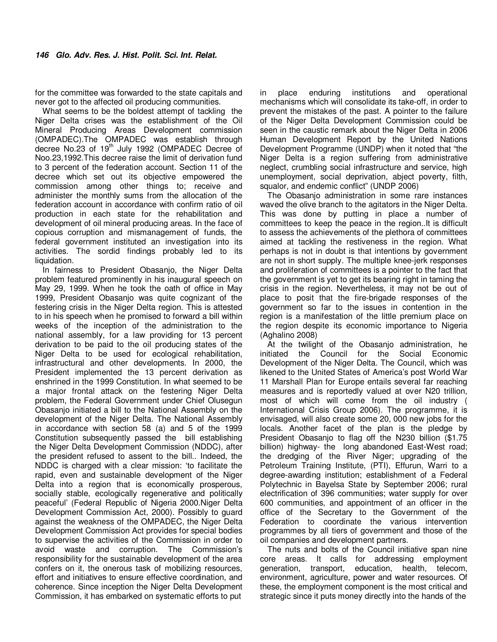for the committee was forwarded to the state capitals and never got to the affected oil producing communities.

What seems to be the boldest attempt of tackling the Niger Delta crises was the establishment of the Oil Mineral Producing Areas Development commission (OMPADEC).The OMPADEC was establish through decree No.23 of 19<sup>th</sup> July 1992 (OMPADEC Decree of Noo.23,1992.This decree raise the limit of derivation fund to 3 percent of the federation account. Section 11 of the decree which set out its objective empowered the commission among other things to; receive and administer the monthly sums from the allocation of the federation account in accordance with confirm ratio of oil production in each state for the rehabilitation and development of oil mineral producing areas. In the face of copious corruption and mismanagement of funds, the federal government instituted an investigation into its activities. The sordid findings probably led to its liquidation.

In fairness to President Obasanjo, the Niger Delta problem featured prominently in his inaugural speech on May 29, 1999. When he took the oath of office in May 1999, President Obasanjo was quite cognizant of the festering crisis in the Niger Delta region. This is attested to in his speech when he promised to forward a bill within weeks of the inception of the administration to the national assembly, for a law providing for 13 percent derivation to be paid to the oil producing states of the Niger Delta to be used for ecological rehabilitation, infrastructural and other developments. In 2000, the President implemented the 13 percent derivation as enshrined in the 1999 Constitution. In what seemed to be a major frontal attack on the festering Niger Delta problem, the Federal Government under Chief Olusegun Obasanjo initiated a bill to the National Assembly on the development of the Niger Delta. The National Assembly in accordance with section 58 (a) and 5 of the 1999 Constitution subsequently passed the bill establishing the Niger Delta Development Commission (NDDC), after the president refused to assent to the bill.. Indeed, the NDDC is charged with a clear mission: 'to facilitate the rapid, even and sustainable development of the Niger Delta into a region that is economically prosperous, socially stable, ecologically regenerative and politically peaceful' (Federal Republic of Nigeria 2000.Niger Delta Development Commission Act, 2000). Possibly to guard against the weakness of the OMPADEC, the Niger Delta Development Commission Act provides for special bodies to supervise the activities of the Commission in order to avoid waste and corruption. The Commission's responsibility for the sustainable development of the area confers on it, the onerous task of mobilizing resources, effort and initiatives to ensure effective coordination, and coherence. Since inception the Niger Delta Development Commission, it has embarked on systematic efforts to put in place enduring institutions and operational mechanisms which will consolidate its take-off, in order to prevent the mistakes of the past. A pointer to the failure of the Niger Delta Development Commission could be seen in the caustic remark about the Niger Delta in 2006 Human Development Report by the United Nations Development Programme (UNDP) when it noted that "the Niger Delta is a region suffering from administrative neglect, crumbling social infrastructure and service, high unemployment, social deprivation, abject poverty, filth, squalor, and endemic conflict" (UNDP 2006)

The Obasanjo administration in some rare instances waved the olive branch to the agitators in the Niger Delta. This was done by putting in place a number of committees to keep the peace in the region..It is difficult to assess the achievements of the plethora of committees aimed at tackling the restiveness in the region. What perhaps is not in doubt is that intentions by government are not in short supply. The multiple knee-jerk responses and proliferation of committees is a pointer to the fact that the government is yet to get its bearing right in taming the crisis in the region. Nevertheless, it may not be out of place to posit that the fire-brigade responses of the government so far to the issues in contention in the region is a manifestation of the little premium place on the region despite its economic importance to Nigeria (Aghalino 2008)

At the twilight of the Obasanjo administration, he initiated the Council for the Social Economic Development of the Niger Delta. The Council, which was likened to the United States of America's post World War 11 Marshall Plan for Europe entails several far reaching measures and is reportedly valued at over N20 trillion, most of which will come from the oil industry ( International Crisis Group 2006). The programme, it is envisaged, will also create some 20, 000 new jobs for the locals. Another facet of the plan is the pledge by President Obasanjo to flag off the N230 billion (\$1.75 billion) highway- the long abandoned East-West road; the dredging of the River Niger; upgrading of the Petroleum Training Institute, (PTI), Effurun, Warri to a degree-awarding institution; establishment of a Federal Polytechnic in Bayelsa State by September 2006; rural electrification of 396 communities; water supply for over 600 communities, and appointment of an officer in the office of the Secretary to the Government of the Federation to coordinate the various intervention programmes by all tiers of government and those of the oil companies and development partners.

The nuts and bolts of the Council initiative span nine core areas. It calls for addressing employment generation, transport, education, health, telecom, environment, agriculture, power and water resources. Of these, the employment component is the most critical and strategic since it puts money directly into the hands of the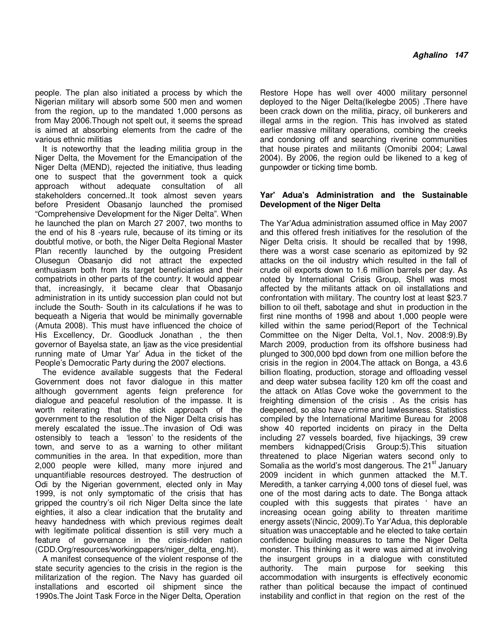people. The plan also initiated a process by which the Nigerian military will absorb some 500 men and women from the region, up to the mandated 1,000 persons as from May 2006.Though not spelt out, it seems the spread is aimed at absorbing elements from the cadre of the various ethnic militias

It is noteworthy that the leading militia group in the Niger Delta, the Movement for the Emancipation of the Niger Delta (MEND), rejected the initiative, thus leading one to suspect that the government took a quick approach without adequate consultation of all stakeholders concerned..It took almost seven years before President Obasanjo launched the promised "Comprehensive Development for the Niger Delta". When he launched the plan on March 27 2007, two months to the end of his 8 -years rule, because of its timing or its doubtful motive, or both, the Niger Delta Regional Master Plan recently launched by the outgoing President Olusegun Obasanjo did not attract the expected enthusiasm both from its target beneficiaries and their compatriots in other parts of the countr*y*. It would appear that, increasingly, it became clear that Obasanjo administration in its untidy succession plan could not but include the South- South in its calculations if he was to bequeath a Nigeria that would be minimally governable (Amuta 2008). This must have influenced the choice of His Excellency, Dr. Goodluck Jonathan , the then governor of Bayelsa state, an Ijaw as the vice presidential running mate of Umar Yar' Adua in the ticket of the People's Democratic Party during the 2007 elections.

The evidence available suggests that the Federal Government does not favor dialogue in this matter although government agents feign preference for dialogue and peaceful resolution of the impasse. It is worth reiterating that the stick approach of the government to the resolution of the Niger Delta crisis has merely escalated the issue..The invasion of Odi was ostensibly to teach a 'lesson' to the residents of the town, and serve to as a warning to other militant communities in the area. In that expedition, more than 2,000 people were killed, many more injured and unquantifiable resources destroyed. The destruction of Odi by the Nigerian government, elected only in May 1999, is not only symptomatic of the crisis that has gripped the country's oil rich Niger Delta since the late eighties, it also a clear indication that the brutality and heavy handedness with which previous regimes dealt with legitimate political dissention is still very much a feature of governance in the crisis-ridden nation (CDD.Org/resources/workingpapers/niger\_delta\_eng.ht).

A manifest consequence of the violent response of the state security agencies to the crisis in the region is the militarization of the region. The Navy has guarded oil installations and escorted oil shipment since the 1990s.The Joint Task Force in the Niger Delta, Operation

Restore Hope has well over 4000 military personnel deployed to the Niger Delta(Ikelegbe 2005) .There have been crack down on the militia, piracy, oil bunkerers and illegal arms in the region. This has involved as stated earlier massive military operations, combing the creeks and condoning off and searching riverine communities that house pirates and militants (Omonibi 2004; Lawal 2004). By 2006, the region ould be likened to a keg of gunpowder or ticking time bomb.

#### **Yar' Adua's Administration and the Sustainable Development of the Niger Delta**

The Yar'Adua administration assumed office in May 2007 and this offered fresh initiatives for the resolution of the Niger Delta crisis. It should be recalled that by 1998, there was a worst case scenario as epitomized by 92 attacks on the oil industry which resulted in the fall of crude oil exports down to 1.6 million barrels per day. As noted by International Crisis Group, Shell was most affected by the militants attack on oil installations and confrontation with military. The country lost at least \$23.7 billion to oil theft, sabotage and shut in production in the first nine months of 1998 and about 1,000 people were killed within the same period(Report of the Technical Committee on the Niger Delta, Vol.1, Nov. 2008:9).By March 2009, production from its offshore business had plunged to 300,000 bpd down from one million before the crisis in the region in 2004.The attack on Bonga, a 43.6 billion floating, production, storage and offloading vessel and deep water subsea facility 120 km off the coast and the attack on Atlas Cove woke the government to the freighting dimension of the crisis . As the crisis has deepened, so also have crime and lawlessness. Statistics compiled by the International Maritime Bureau for 2008 show 40 reported incidents on piracy in the Delta including 27 vessels boarded, five hijackings, 39 crew members kidnapped(Crisis Group:5).This situation threatened to place Nigerian waters second only to Somalia as the world's most dangerous. The 21<sup>st</sup> January 2009 incident in which gunmen attacked the M.T. Meredith, a tanker carrying 4,000 tons of diesel fuel, was one of the most daring acts to date. The Bonga attack coupled with this suggests that pirates ' have an increasing ocean going ability to threaten maritime energy assets'(Nincic, 2009).To Yar'Adua, this deplorable situation was unacceptable and he elected to take certain confidence building measures to tame the Niger Delta monster. This thinking as it were was aimed at involving the insurgent groups in a dialogue with constituted authority. The main purpose for seeking this accommodation with insurgents is effectively economic rather than political because the impact of continued instability and conflict in that region on the rest of the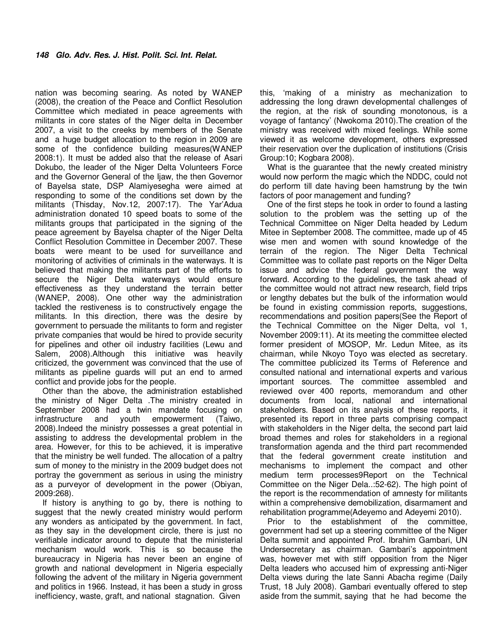nation was becoming searing. As noted by WANEP (2008), the creation of the Peace and Conflict Resolution Committee which mediated in peace agreements with militants in core states of the Niger delta in December 2007, a visit to the creeks by members of the Senate and a huge budget allocation to the region in 2009 are some of the confidence building measures(WANEP 2008:1). It must be added also that the release of Asari Dokubo, the leader of the Niger Delta Volunteers Force and the Governor General of the Ijaw, the then Governor of Bayelsa state, DSP Alamiyesegha were aimed at responding to some of the conditions set down by the militants (Thisday, Nov.12, 2007:17). The Yar'Adua administration donated 10 speed boats to some of the militants groups that participated in the signing of the peace agreement by Bayelsa chapter of the Niger Delta Conflict Resolution Committee in December 2007. These boats were meant to be used for surveillance and monitoring of activities of criminals in the waterways. It is believed that making the militants part of the efforts to secure the Niger Delta waterways would ensure effectiveness as they understand the terrain better (WANEP, 2008). One other way the administration tackled the restiveness is to constructively engage the militants. In this direction, there was the desire by government to persuade the militants to form and register private companies that would be hired to provide security for pipelines and other oil industry facilities (Lewu and Salem, 2008).Although this initiative was heavily criticized, the government was convinced that the use of militants as pipeline guards will put an end to armed conflict and provide jobs for the people.

Other than the above, the administration established the ministry of Niger Delta .The ministry created in September 2008 had a twin mandate focusing on infrastructure and youth empowerment (Taiwo, 2008).Indeed the ministry possesses a great potential in assisting to address the developmental problem in the area. However, for this to be achieved, it is imperative that the ministry be well funded. The allocation of a paltry sum of money to the ministry in the 2009 budget does not portray the government as serious in using the ministry as a purveyor of development in the power (Obiyan, 2009:268).

If history is anything to go by, there is nothing to suggest that the newly created ministry would perform any wonders as anticipated by the government. In fact, as they say in the development circle, there is just no verifiable indicator around to depute that the ministerial mechanism would work. This is so because the bureaucracy in Nigeria has never been an engine of growth and national development in Nigeria especially following the advent of the military in Nigeria government and politics in 1966. Instead, it has been a study in gross inefficiency, waste, graft, and national stagnation. Given

this, 'making of a ministry as mechanization to addressing the long drawn developmental challenges of the region, at the risk of sounding monotonous, is a voyage of fantancy' (Nwokoma 2010).The creation of the ministry was received with mixed feelings. While some viewed it as welcome development, others expressed their reservation over the duplication of institutions (Crisis Group:10; Kogbara 2008).

What is the guarantee that the newly created ministry would now perform the magic which the NDDC, could not do perform till date having been hamstrung by the twin factors of poor management and funding?

One of the first steps he took in order to found a lasting solution to the problem was the setting up of the Technical Committee on Niger Delta headed by Ledum Mitee in September 2008. The committee, made up of 45 wise men and women with sound knowledge of the terrain of the region. The Niger Delta Technical Committee was to collate past reports on the Niger Delta issue and advice the federal government the way forward. According to the guidelines, the task ahead of the committee would not attract new research, field trips or lengthy debates but the bulk of the information would be found in existing commission reports, suggestions, recommendations and position papers(See the Report of the Technical Committee on the Niger Delta, vol 1, November 2009:11). At its meeting the committee elected former president of MOSOP, Mr. Ledun Mitee, as its chairman, while Nkoyo Toyo was elected as secretary. The committee publicized its Terms of Reference and consulted national and international experts and various important sources. The committee assembled and reviewed over 400 reports, memorandum and other documents from local, national and international stakeholders. Based on its analysis of these reports, it presented its report in three parts comprising compact with stakeholders in the Niger delta, the second part laid broad themes and roles for stakeholders in a regional transformation agenda and the third part recommended that the federal government create institution and mechanisms to implement the compact and other medium term processes9Report on the Technical Committee on the Niger Dela..:52-62). The high point of the report is the recommendation of amnesty for militants within a comprehensive demobilization, disarmament and rehabilitation programme(Adeyemo and Adeyemi 2010).

Prior to the establishment of the committee, government had set up a steering committee of the Niger Delta summit and appointed Prof. Ibrahim Gambari, UN Undersecretary as chairman. Gambari's appointment was, however met with stiff opposition from the Niger Delta leaders who accused him of expressing anti-Niger Delta views during the late Sanni Abacha regime (Daily Trust, 18 July 2008). Gambari eventually offered to step aside from the summit, saying that he had become the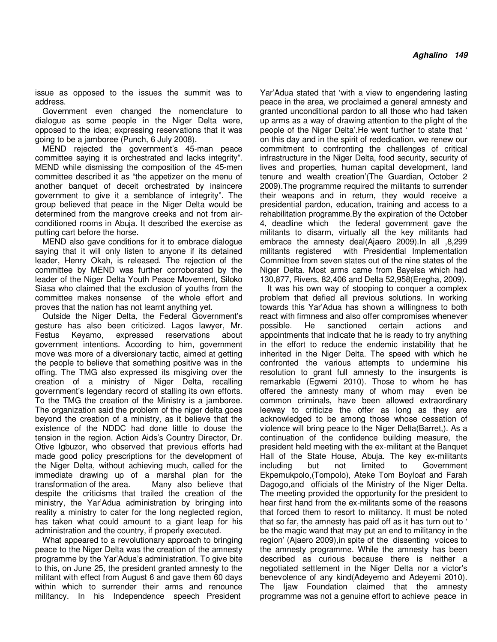issue as opposed to the issues the summit was to address.

Government even changed the nomenclature to dialogue as some people in the Niger Delta were, opposed to the idea; expressing reservations that it was going to be a jamboree (Punch, 6 July 2008).

MEND rejected the government's 45-man peace committee saying it is orchestrated and lacks integrity". MEND while dismissing the composition of the 45-men committee described it as "the appetizer on the menu of another banquet of deceit orchestrated by insincere government to give it a semblance of integrity". The group believed that peace in the Niger Delta would be determined from the mangrove creeks and not from airconditioned rooms in Abuja. It described the exercise as putting cart before the horse.

MEND also gave conditions for it to embrace dialogue saying that it will only listen to anyone if its detained leader, Henry Okah, is released. The rejection of the committee by MEND was further corroborated by the leader of the Niger Delta Youth Peace Movement, Siloko Siasa who claimed that the exclusion of youths from the committee makes nonsense of the whole effort and proves that the nation has not learnt anything yet.

Outside the Niger Delta, the Federal Government's gesture has also been criticized. Lagos lawyer, Mr. Festus Keyamo, expressed reservations about government intentions. According to him, government move was more of a diversionary tactic, aimed at getting the people to believe that something positive was in the offing. The TMG also expressed its misgiving over the creation of a ministry of Niger Delta, recalling government's legendary record of stalling its own efforts. To the TMG the creation of the Ministry is a jamboree. The organization said the problem of the niger delta goes beyond the creation of a ministry, as it believe that the existence of the NDDC had done little to douse the tension in the region. Action Aids's Country Director, Dr. Otive Igbuzor, who observed that previous efforts had made good policy prescriptions for the development of the Niger Delta, without achieving much, called for the immediate drawing up of a marshal plan for the transformation of the area. Many also believe that despite the criticisms that trailed the creation of the ministry, the Yar'Adua administration by bringing into reality a ministry to cater for the long neglected region, has taken what could amount to a giant leap for his administration and the country, if properly executed.

What appeared to a revolutionary approach to bringing peace to the Niger Delta was the creation of the amnesty programme by the Yar'Adua's administration. To give bite to this, on June 25, the president granted amnesty to the militant with effect from August 6 and gave them 60 days within which to surrender their arms and renounce militancy. In his Independence speech President

Yar'Adua stated that 'with a view to engendering lasting peace in the area, we proclaimed a general amnesty and granted unconditional pardon to all those who had taken up arms as a way of drawing attention to the plight of the people of the Niger Delta'.He went further to state that ' on this day and in the spirit of rededication, we renew our commitment to confronting the challenges of critical infrastructure in the Niger Delta, food security, security of lives and properties, human capital development, land tenure and wealth creation'(The Guardian, October 2 2009).The programme required the militants to surrender their weapons and in return, they would receive a presidential pardon, education, training and access to a rehabilitation programme.By the expiration of the October 4, deadline which the federal government gave the militants to disarm, virtually all the key militants had embrace the amnesty deal(Ajaero 2009).In all ,8,299 militants registered with Presidential Implementation Committee from seven states out of the nine states of the Niger Delta. Most arms came from Bayelsa which had 130,877, Rivers, 82,406 and Delta 52,958(Eregha, 2009).

It was his own way of stooping to conquer a complex problem that defied all previous solutions. In working towards this Yar'Adua has shown a willingness to both react with firmness and also offer compromises whenever possible. He sanctioned certain actions and appointments that indicate that he is ready to try anything in the effort to reduce the endemic instability that he inherited in the Niger Delta. The speed with which he confronted the various attempts to undermine his resolution to grant full amnesty to the insurgents is remarkable (Egwemi 2010). Those to whom he has offered the amnesty many of whom may even be common criminals, have been allowed extraordinary leeway to criticize the offer as long as they are acknowledged to be among those whose cessation of violence will bring peace to the Niger Delta(Barret,). As a continuation of the confidence building measure, the president held meeting with the ex-militant at the Banquet Hall of the State House, Abuja. The key ex-militants including but not limited to Government Ekpemukpolo,(Tompolo), Ateke Tom Boyloaf and Farah Dagogo,and officials of the Ministry of the Niger Delta. The meeting provided the opportunity for the president to hear first hand from the ex-militants some of the reasons that forced them to resort to militancy. It must be noted that so far, the amnesty has paid off as it has turn out to ' be the magic wand that may put an end to militancy in the region' (Ajaero 2009),in spite of the dissenting voices to the amnesty programme. While the amnesty has been described as curious because there is neither a negotiated settlement in the Niger Delta nor a victor's benevolence of any kind(Adeyemo and Adeyemi 2010). The Ijaw Foundation claimed that the amnesty programme was not a genuine effort to achieve peace in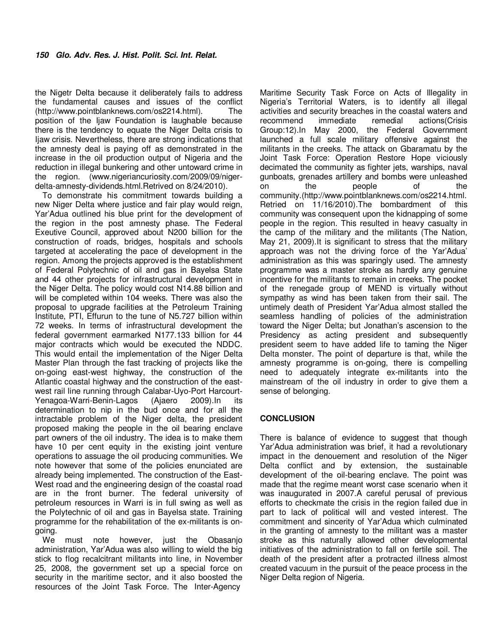the Nigetr Delta because it deliberately fails to address the fundamental causes and issues of the conflict (http://www.pointblanknews.com/os2214.html). The position of the Ijaw Foundation is laughable because there is the tendency to equate the Niger Delta crisis to Ijaw crisis. Nevertheless, there are strong indications that the amnesty deal is paying off as demonstrated in the increase in the oil production output of Nigeria and the reduction in illegal bunkering and other untoward crime in the region. (www.nigeriancuriosity.com/2009/09/nigerdelta-amnesty-dividends.html.Retrived on 8/24/2010).

To demonstrate his commitment towards building a new Niger Delta where justice and fair play would reign, Yar'Adua outlined his blue print for the development of the region in the post amnesty phase. The Federal Exeutive Council, approved about N200 billion for the construction of roads, bridges, hospitals and schools targeted at accelerating the pace of development in the region. Among the projects approved is the establishment of Federal Polytechnic of oil and gas in Bayelsa State and 44 other projects for infrastructural development in the Niger Delta. The policy would cost N14.88 billion and will be completed within 104 weeks. There was also the proposal to upgrade facilities at the Petroleum Training Institute, PTI, Effurun to the tune of N5.727 billion within 72 weeks. In terms of infrastructural development the federal government earmarked N177.133 billion for 44 major contracts which would be executed the NDDC. This would entail the implementation of the Niger Delta Master Plan through the fast tracking of projects like the on-going east-west highway, the construction of the Atlantic coastal highway and the construction of the eastwest rail line running through Calabar-Uyo-Port Harcourt-Yenagoa-Warri-Benin-Lagos (Ajaero 2009).In its determination to nip in the bud once and for all the intractable problem of the Niger delta, the president proposed making the people in the oil bearing enclave part owners of the oil industry. The idea is to make them have 10 per cent equity in the existing joint venture operations to assuage the oil producing communities. We note however that some of the policies enunciated are already being implemented. The construction of the East-West road and the engineering design of the coastal road are in the front burner. The federal university of petroleum resources in Warri is in full swing as well as the Polytechnic of oil and gas in Bayelsa state. Training programme for the rehabilitation of the ex-militants is ongoing.

We must note however, just the Obasanjo administration, Yar'Adua was also willing to wield the big stick to flog recalcitrant militants into line, in November 25, 2008, the government set up a special force on security in the maritime sector, and it also boosted the resources of the Joint Task Force. The Inter-Agency

Maritime Security Task Force on Acts of Illegality in Nigeria's Territorial Waters, is to identify all illegal activities and security breaches in the coastal waters and<br>recommend immediate remedial actions(Crisis immediate remedial actions(Crisis Group:12).In May 2000, the Federal Government launched a full scale military offensive against the militants in the creeks. The attack on Gbaramatu by the Joint Task Force: Operation Restore Hope viciously decimated the community as fighter jets, warships, naval gunboats, grenades artillery and bombs were unleashed on the people of the community.(http://www.pointblanknews.com/os2214.html. Retried on 11/16/2010).The bombardment of this community was consequent upon the kidnapping of some people in the region. This resulted in heavy casualty in the camp of the military and the militants (The Nation, May 21, 2009).It is significant to stress that the military approach was not the driving force of the Yar'Adua' administration as this was sparingly used. The amnesty programme was a master stroke as hardly any genuine incentive for the militants to remain in creeks. The pocket of the renegade group of MEND is virtually without sympathy as wind has been taken from their sail. The untimely death of President Yar'Adua almost stalled the seamless handling of policies of the administration toward the Niger Delta; but Jonathan's ascension to the Presidency as acting president and subsequently president seem to have added life to taming the Niger Delta monster. The point of departure is that, while the amnesty programme is on-going, there is compelling need to adequately integrate ex-militants into the mainstream of the oil industry in order to give them a sense of belonging.

### **CONCLUSION**

There is balance of evidence to suggest that though Yar'Adua administration was brief, it had a revolutionary impact in the denouement and resolution of the Niger Delta conflict and by extension, the sustainable development of the oil-bearing enclave. The point was made that the regime meant worst case scenario when it was inaugurated in 2007.A careful perusal of previous efforts to checkmate the crisis in the region failed due in part to lack of political will and vested interest. The commitment and sincerity of Yar'Adua which culminated in the granting of amnesty to the militant was a master stroke as this naturally allowed other developmental initiatives of the administration to fall on fertile soil. The death of the president after a protracted illness almost created vacuum in the pursuit of the peace process in the Niger Delta region of Nigeria.